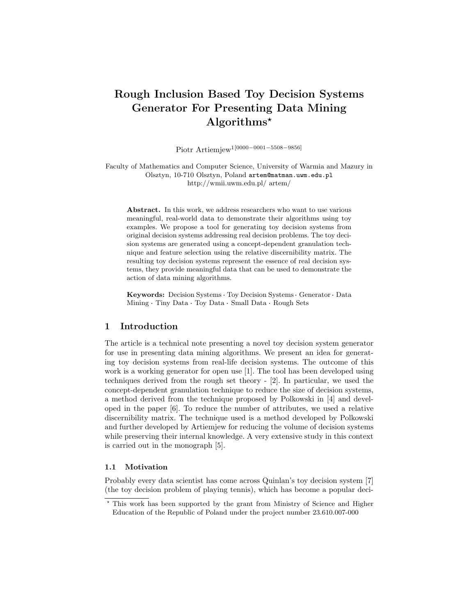# Rough Inclusion Based Toy Decision Systems Generator For Presenting Data Mining Algorithms?

Piotr Artiemjew1[0000−0001−5508−9856]

Faculty of Mathematics and Computer Science, University of Warmia and Mazury in Olsztyn, 10-710 Olsztyn, Poland artem@matman.uwm.edu.pl http://wmii.uwm.edu.pl/ artem/

Abstract. In this work, we address researchers who want to use various meaningful, real-world data to demonstrate their algorithms using toy examples. We propose a tool for generating toy decision systems from original decision systems addressing real decision problems. The toy decision systems are generated using a concept-dependent granulation technique and feature selection using the relative discernibility matrix. The resulting toy decision systems represent the essence of real decision systems, they provide meaningful data that can be used to demonstrate the action of data mining algorithms.

action or data mining aigorithms.<br>**Keywords:** Decision Systems · Toy Decision Systems · Generator · Data Keywords: Decision Systems · Toy Decision Systems · General Mining · Tiny Data · Toy Data · Small Data · Rough Sets

# 1 Introduction

The article is a technical note presenting a novel toy decision system generator for use in presenting data mining algorithms. We present an idea for generating toy decision systems from real-life decision systems. The outcome of this work is a working generator for open use [1]. The tool has been developed using techniques derived from the rough set theory - [2]. In particular, we used the concept-dependent granulation technique to reduce the size of decision systems, a method derived from the technique proposed by Polkowski in [4] and developed in the paper [6]. To reduce the number of attributes, we used a relative discernibility matrix. The technique used is a method developed by Polkowski and further developed by Artiemjew for reducing the volume of decision systems while preserving their internal knowledge. A very extensive study in this context is carried out in the monograph [5].

#### 1.1 Motivation

Probably every data scientist has come across Quinlan's toy decision system [7] (the toy decision problem of playing tennis), which has become a popular deci-

<sup>?</sup> This work has been supported by the grant from Ministry of Science and Higher Education of the Republic of Poland under the project number 23.610.007-000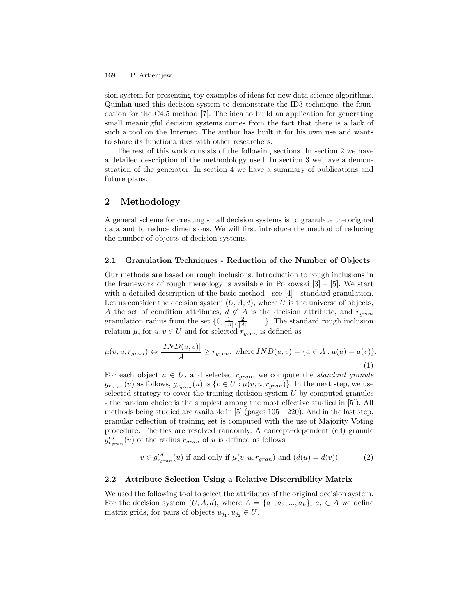#### P. Artiemjew 169

sion system for presenting toy examples of ideas for new data science algorithms. Quinlan used this decision system to demonstrate the ID3 technique, the foundation for the C4.5 method [7]. The idea to build an application for generating small meaningful decision systems comes from the fact that there is a lack of such a tool on the Internet. The author has built it for his own use and wants to share its functionalities with other researchers.

The rest of this work consists of the following sections. In section 2 we have a detailed description of the methodology used. In section 3 we have a demonstration of the generator. In section 4 we have a summary of publications and future plans.

# 2 Methodology

A general scheme for creating small decision systems is to granulate the original data and to reduce dimensions. We will first introduce the method of reducing the number of objects of decision systems.

### 2.1 Granulation Techniques - Reduction of the Number of Objects

Our methods are based on rough inclusions. Introduction to rough inclusions in the framework of rough mereology is available in Polkowski  $[3]$  –  $[5]$ . We start with a detailed description of the basic method - see [4] - standard granulation. Let us consider the decision system  $(U, A, d)$ , where U is the universe of objects, A the set of condition attributes,  $d \notin A$  is the decision attribute, and  $r_{gran}$ granulation radius from the set  $\{0, \frac{1}{|A|}, \frac{2}{|A|}, ..., 1\}$ . The standard rough inclusion relation  $\mu$ , for  $u, v \in U$  and for selected  $r_{gran}$  is defined as

$$
\mu(v, u, r_{gran}) \Leftrightarrow \frac{|IND(u, v)|}{|A|} \ge r_{gran}, \text{ where } IND(u, v) = \{a \in A : a(u) = a(v)\},\tag{1}
$$

For each object  $u \in U$ , and selected  $r_{gran}$ , we compute the *standard granule*  $g_{r_{gran}}(u)$  as follows,  $g_{r_{gran}}(u)$  is  $\{v \in U : \mu(v, u, r_{gran})\}$ . In the next step, we use selected strategy to cover the training decision system  $U$  by computed granules - the random choice is the simplest among the most effective studied in [5]). All methods being studied are available in  $[5]$  (pages  $105 - 220$ ). And in the last step, granular reflection of training set is computed with the use of Majority Voting procedure. The ties are resolved randomly. A concept–dependent (cd) granule  $g_{r_{gran}}^{cd}(u)$  of the radius  $r_{gran}$  of u is defined as follows:

$$
v \in g_{r_{gran}}^{cd}(u) \text{ if and only if } \mu(v, u, r_{gran}) \text{ and } (d(u) = d(v))
$$
 (2)

### 2.2 Attribute Selection Using a Relative Discernibility Matrix

We used the following tool to select the attributes of the original decision system. For the decision system  $(U, A, d)$ , where  $A = \{a_1, a_2, ..., a_k\}, a_i \in A$  we define matrix grids, for pairs of objects  $u_{j_1}, u_{j_2} \in U$ .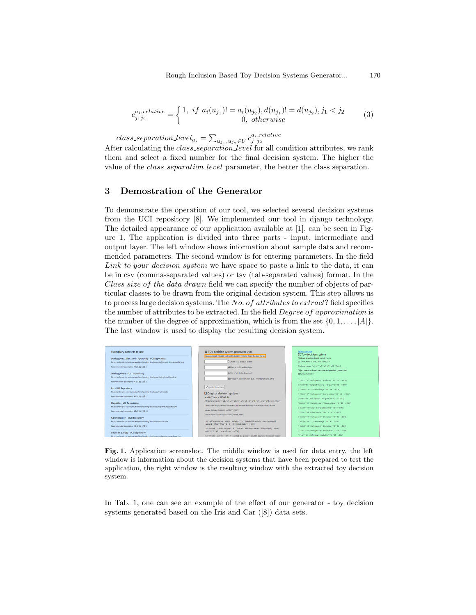$$
c_{j_1 j_2}^{a_i, relative} = \begin{cases} 1, & if \ a_i(u_{j_1})! = a_i(u_{j_2}), d(u_{j_1})! = d(u_{j_2}), j_1 < j_2 \\ 0, & otherwise \end{cases}
$$
 (3)

 $class\_separation\_level_{a_i} = \sum_{u_{j_1},u_{j_2} \in U} c_{j_1j_2}^{a_i,relative}$ 

After calculating the *class\_separation\_level* for all condition attributes, we rank them and select a fixed number for the final decision system. The higher the value of the class separation level parameter, the better the class separation.

## 3 Demostration of the Generator

To demonstrate the operation of our tool, we selected several decision systems from the UCI repository [8]. We implemented our tool in django technology. The detailed appearance of our application available at [1], can be seen in Figure 1. The application is divided into three parts - input, intermediate and output layer. The left window shows information about sample data and recommended parameters. The second window is for entering parameters. In the field Link to your decision system we have space to paste a link to the data, it can be in csv (comma-separated values) or tsv (tab-separated values) format. In the Class size of the data drawn field we can specify the number of objects of particular classes to be drawn from the original decision system. This step allows us to process large decision systems. The No. of attributes to extract? field specifies the number of attributes to be extracted. In the field *Degree of approximation* is the number of the degree of approximation, which is from the set  $\{0, 1, \ldots, |A|\}$ . The last window is used to display the resulting decision system.



Fig. 1. Application screenshot. The middle window is used for data entry, the left window is information about the decision systems that have been prepared to test the application, the right window is the resulting window with the extracted toy decision system.

In Tab. 1, one can see an example of the effect of our generator - toy decision systems generated based on the Iris and Car ([8]) data sets.

170